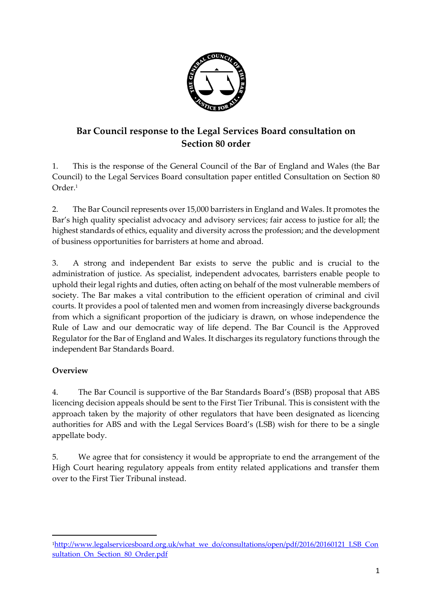

## **Bar Council response to the Legal Services Board consultation on Section 80 order**

1. This is the response of the General Council of the Bar of England and Wales (the Bar Council) to the Legal Services Board consultation paper entitled Consultation on Section 80 Order. 1

2. The Bar Council represents over 15,000 barristers in England and Wales. It promotes the Bar's high quality specialist advocacy and advisory services; fair access to justice for all; the highest standards of ethics, equality and diversity across the profession; and the development of business opportunities for barristers at home and abroad.

3. A strong and independent Bar exists to serve the public and is crucial to the administration of justice. As specialist, independent advocates, barristers enable people to uphold their legal rights and duties, often acting on behalf of the most vulnerable members of society. The Bar makes a vital contribution to the efficient operation of criminal and civil courts. It provides a pool of talented men and women from increasingly diverse backgrounds from which a significant proportion of the judiciary is drawn, on whose independence the Rule of Law and our democratic way of life depend. The Bar Council is the Approved Regulator for the Bar of England and Wales. It discharges its regulatory functions through the independent Bar Standards Board.

## **Overview**

1

4. The Bar Council is supportive of the Bar Standards Board's (BSB) proposal that ABS licencing decision appeals should be sent to the First Tier Tribunal. This is consistent with the approach taken by the majority of other regulators that have been designated as licencing authorities for ABS and with the Legal Services Board's (LSB) wish for there to be a single appellate body.

5. We agree that for consistency it would be appropriate to end the arrangement of the High Court hearing regulatory appeals from entity related applications and transfer them over to the First Tier Tribunal instead.

<sup>1</sup>[http://www.legalservicesboard.org.uk/what\\_we\\_do/consultations/open/pdf/2016/20160121\\_LSB\\_Con](http://www.legalservicesboard.org.uk/what_we_do/consultations/open/pdf/2016/20160121_LSB_Consultation_On_Section_80_Order.pdf) sultation On Section 80 Order.pdf